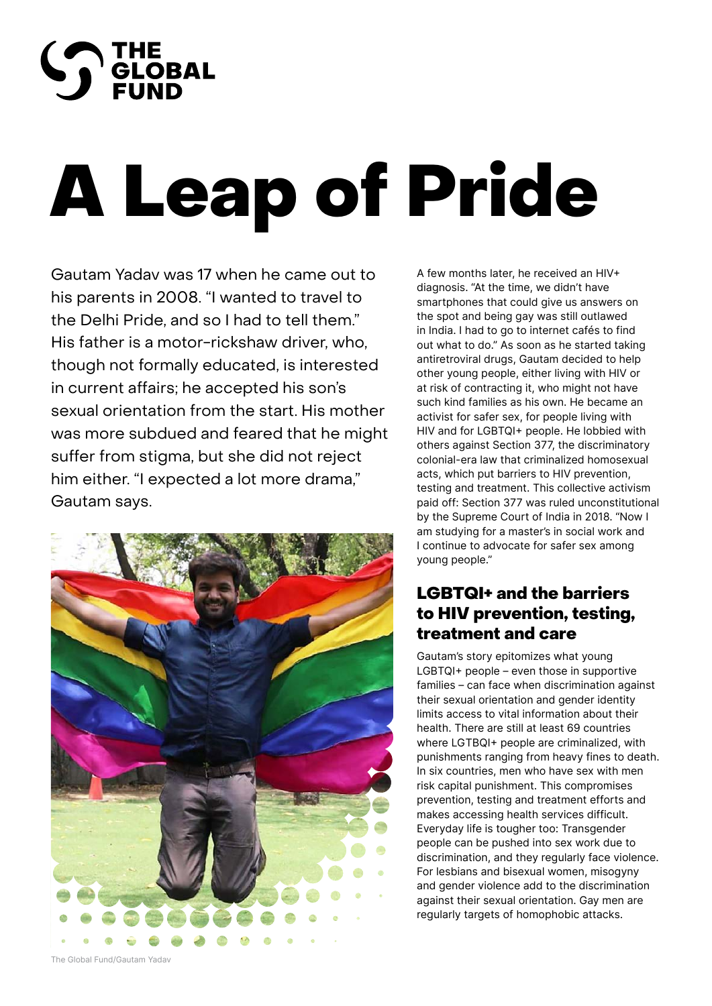

# A Leap of Pride

Gautam Yadav was 17 when he came out to his parents in 2008. "I wanted to travel to the Delhi Pride, and so I had to tell them." His father is a motor-rickshaw driver, who, though not formally educated, is interested in current affairs; he accepted his son's sexual orientation from the start. His mother was more subdued and feared that he might suffer from stigma, but she did not reject him either. "I expected a lot more drama," Gautam says.



A few months later, he received an HIV+ diagnosis. "At the time, we didn't have smartphones that could give us answers on the spot and being gay was still outlawed in India. I had to go to internet cafés to find out what to do." As soon as he started taking antiretroviral drugs, Gautam decided to help other young people, either living with HIV or at risk of contracting it, who might not have such kind families as his own. He became an activist for safer sex, for people living with HIV and for LGBTQI+ people. He lobbied with others against Section 377, the discriminatory colonial-era law that criminalized homosexual acts, which put barriers to HIV prevention, testing and treatment. This collective activism paid off: Section 377 was ruled unconstitutional by the Supreme Court of India in 2018. "Now I am studying for a master's in social work and I continue to advocate for safer sex among young people."

## LGBTQI+ and the barriers to HIV prevention, testing, treatment and care

Gautam's story epitomizes what young LGBTQI+ people – even those in supportive families – can face when discrimination against their sexual orientation and gender identity limits access to vital information about their health. There are still at least 69 countries where LGTBQI+ people are criminalized, with punishments ranging from heavy fines to death. In six countries, men who have sex with men risk capital punishment. This compromises prevention, testing and treatment efforts and makes accessing health services difficult. Everyday life is tougher too: Transgender people can be pushed into sex work due to discrimination, and they regularly face violence. For lesbians and bisexual women, misogyny and gender violence add to the discrimination against their sexual orientation. Gay men are regularly targets of homophobic attacks.